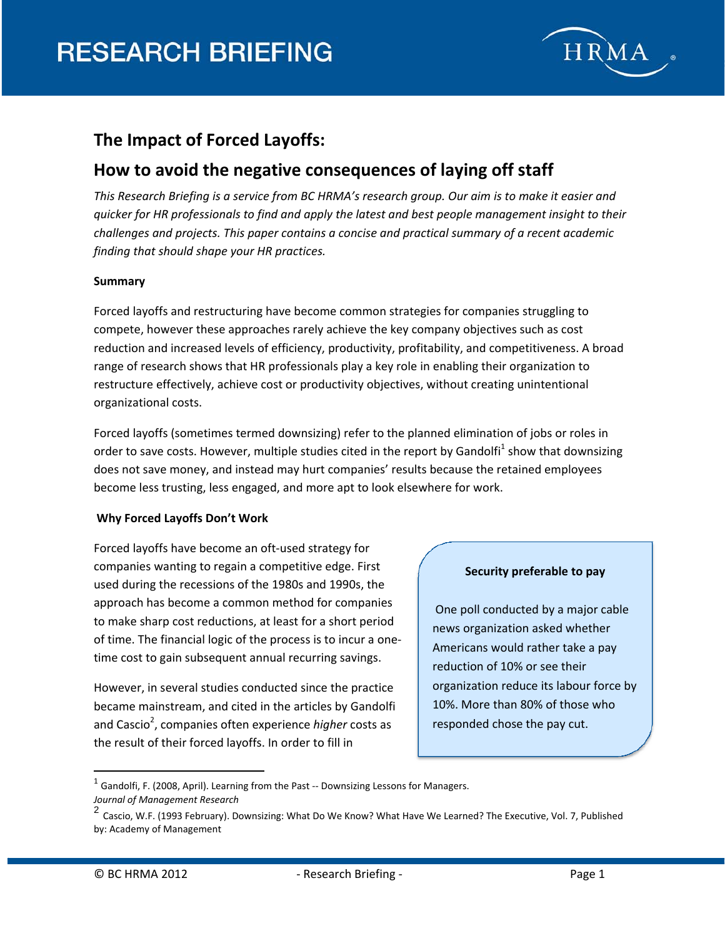

# **The Impact of Forced Layoffs:**

# **How to avoid the negative consequences of laying off staff**

This Research Briefing is a service from BC HRMA's research group. Our aim is to make it easier and *quicker for HR professionals to find and apply the latest and best people management insight to their challenges and projects. This paper contains a concise and practical summary of a recent academic finding that should shape your HR practices.*

### **Summary**

Forced layoffs and restructuring have become common strategies for companies struggling to compete, however these approaches rarely achieve the key company objectives such as cost reduction and increased levels of efficiency, productivity, profitability, and competitiveness. A broad range of research shows that HR professionals play a key role in enabling their organization to restructure effectively, achieve cost or productivity objectives, without creating unintentional organizational costs.

Forced layoffs (sometimes termed downsizing) refer to the planned elimination of jobs or roles in order to save costs. However, multiple studies cited in the report by Gandolfi<sup>1</sup> show that downsizing does not save money, and instead may hurt companies' results because the retained employees become less trusting, less engaged, and more apt to look elsewhere for work.

#### **Why Forced Layoffs Don't Work**

Forced layoffs have become an oft‐used strategy for companies wanting to regain a competitive edge. First used during the recessions of the 1980s and 1990s, the approach has become a common method for companies to make sharp cost reductions, at least for a short period of time. The financial logic of the process is to incur a one‐ time cost to gain subsequent annual recurring savings.

However, in several studies conducted since the practice became mainstream, and cited in the articles by Gandolfi and Cascio<sup>2</sup>, companies often experience *higher* costs as the result of their forced layoffs. In order to fill in

#### **Security preferable to pay**

One poll conducted by a major cable news organization asked whether Americans would rather take a pay reduction of 10% or see their organization reduce its labour force by 10%. More than 80% of those who responded chose the pay cut.

 $<sup>1</sup>$  Gandolfi, F. (2008, April). Learning from the Past -- Downsizing Lessons for Managers.</sup>

*Journal of Management Research*

<sup>2</sup> Cascio, W.F. (1993 February). Downsizing: What Do We Know? What Have We Learned? The Executive, Vol. 7, Published by: Academy of Management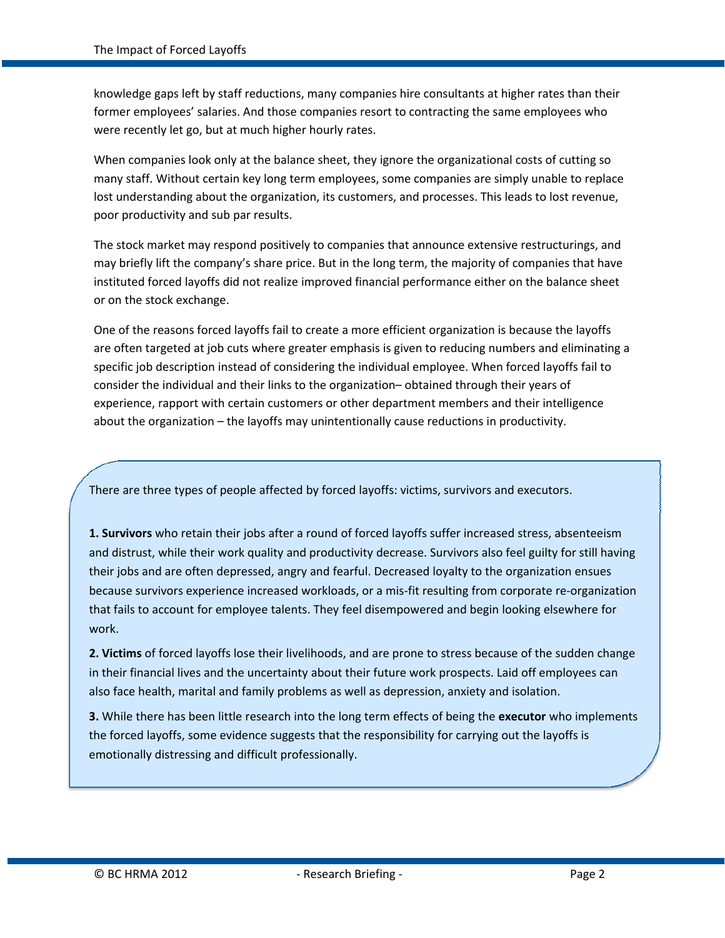knowledge gaps left by staff reductions, many companies hire consultants at higher rates than their former employees' salaries. And those companies resort to contracting the same employees who were recently let go, but at much higher hourly rates.

When companies look only at the balance sheet, they ignore the organizational costs of cutting so many staff. Without certain key long term employees, some companies are simply unable to replace lost understanding about the organization, its customers, and processes. This leads to lost revenue, poor productivity and sub par results.

The stock market may respond positively to companies that announce extensive restructurings, and may briefly lift the company's share price. But in the long term, the majority of companies that have instituted forced layoffs did not realize improved financial performance either on the balance sheet or on the stock exchange.

One of the reasons forced layoffs fail to create a more efficient organization is because the layoffs are often targeted at job cuts where greater emphasis is given to reducing numbers and eliminating a specific job description instead of considering the individual employee. When forced layoffs fail to consider the individual and their links to the organization– obtained through their years of experience, rapport with certain customers or other department members and their intelligence about the organization – the layoffs may unintentionally cause reductions in productivity.

There are three types of people affected by forced layoffs: victims, survivors and executors.

**1. Survivors** who retain their jobs after a round of forced layoffs suffer increased stress, absenteeism and distrust, while their work quality and productivity decrease. Survivors also feel guilty for still having their jobs and are often depressed, angry and fearful. Decreased loyalty to the organization ensues because survivors experience increased workloads, or a mis‐fit resulting from corporate re‐organization that fails to account for employee talents. They feel disempowered and begin looking elsewhere for work.

**2. Victims** of forced layoffs lose their livelihoods, and are prone to stress because of the sudden change in their financial lives and the uncertainty about their future work prospects. Laid off employees can also face health, marital and family problems as well as depression, anxiety and isolation.

**3.** While there has been little research into the long term effects of being the **executor** who implements the forced layoffs, some evidence suggests that the responsibility for carrying out the layoffs is emotionally distressing and difficult professionally.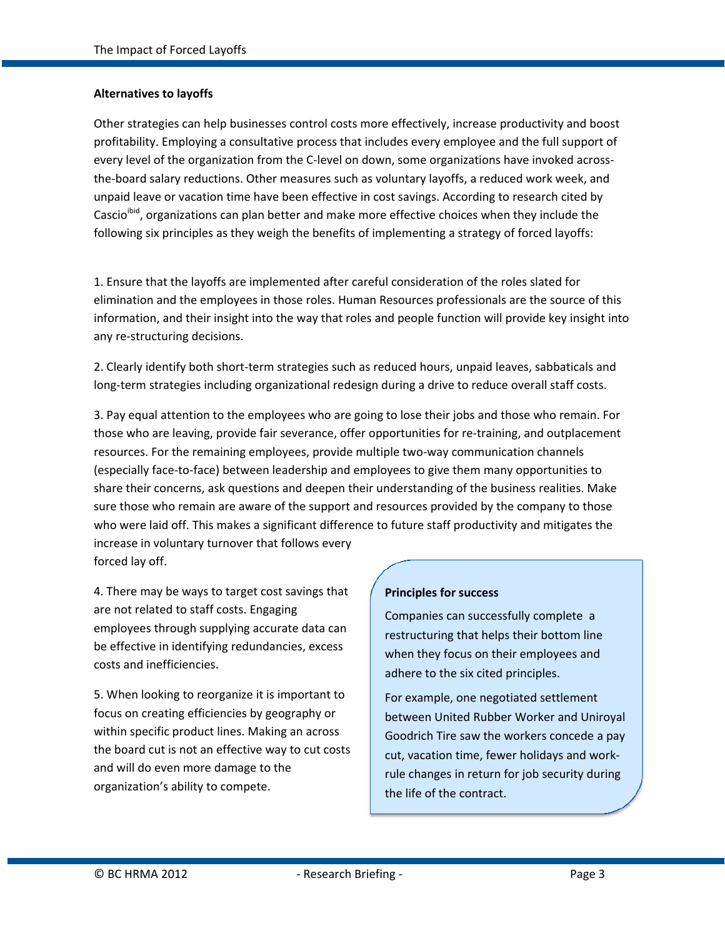### **Alternatives to layoffs**

Other strategies can help businesses control costs more effectively, increase productivity and boost profitability. Employing a consultative process that includes every employee and the full support of every level of the organization from the C-level on down, some organizations have invoked acrossthe‐board salary reductions. Other measures such as voluntary layoffs, a reduced work week, and unpaid leave or vacation time have been effective in cost savings. According to research cited by Cascio<sup>ibid</sup>, organizations can plan better and make more effective choices when they include the following six principles as they weigh the benefits of implementing a strategy of forced layoffs:

1. Ensure that the layoffs are implemented after careful consideration of the roles slated for elimination and the employees in those roles. Human Resources professionals are the source of this information, and their insight into the way that roles and people function will provide key insight into any re‐structuring decisions.

2. Clearly identify both short‐term strategies such as reduced hours, unpaid leaves, sabbaticals and long-term strategies including organizational redesign during a drive to reduce overall staff costs.

3. Pay equal attention to the employees who are going to lose their jobs and those who remain. For those who are leaving, provide fair severance, offer opportunities for re‐training, and outplacement resources. For the remaining employees, provide multiple two-way communication channels (especially face‐to‐face) between leadership and employees to give them many opportunities to share their concerns, ask questions and deepen their understanding of the business realities. Make sure those who remain are aware of the support and resources provided by the company to those who were laid off. This makes a significant difference to future staff productivity and mitigates the increase in voluntary turnover that follows every forced lay off.

4. There may be ways to target cost savings that are not related to staff costs. Engaging employees through supplying accurate data can be effective in identifying redundancies, excess costs and inefficiencies.

5. When looking to reorganize it is important to focus on creating efficiencies by geography or within specific product lines. Making an across the board cut is not an effective way to cut costs and will do even more damage to the organization's ability to compete.

#### **Principles for success**

Companies can successfully complete a restructuring that helps their bottom line when they focus on their employees and adhere to the six cited principles.

For example, one negotiated settlement between United Rubber Worker and Uniroyal Goodrich Tire saw the workers concede a pay cut, vacation time, fewer holidays and work‐ rule changes in return for job security during the life of the contract.